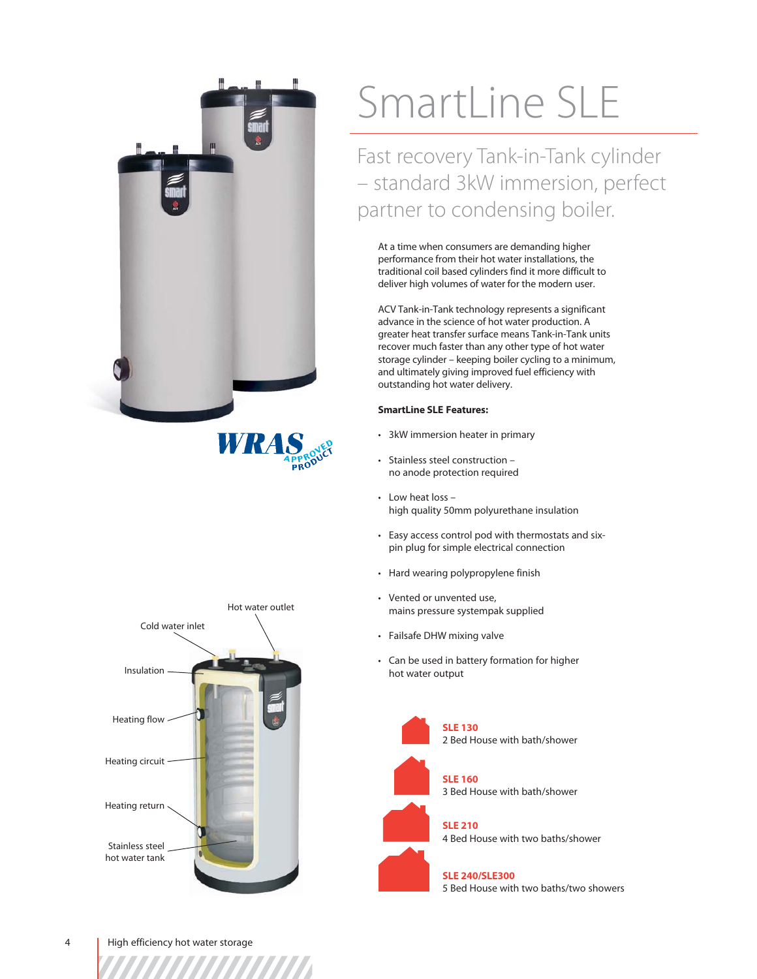





# SmartLine SLE

Fast recovery Tank-in-Tank cylinder – standard 3kW immersion, perfect partner to condensing boiler.

At a time when consumers are demanding higher performance from their hot water installations, the traditional coil based cylinders find it more difficult to deliver high volumes of water for the modern user.

ACV Tank-in-Tank technology represents a significant advance in the science of hot water production. A greater heat transfer surface means Tank-in-Tank units recover much faster than any other type of hot water storage cylinder – keeping boiler cycling to a minimum, and ultimately giving improved fuel efficiency with outstanding hot water delivery.

## **SmartLine SLE Features:**

- 3kW immersion heater in primary
- Stainless steel construction no anode protection required
- Low heat loss high quality 50mm polyurethane insulation
- Easy access control pod with thermostats and sixpin plug for simple electrical connection
- Hard wearing polypropylene finish
- Vented or unvented use, mains pressure systempak supplied
- Failsafe DHW mixing valve
- Can be used in battery formation for higher hot water output



**SLE 160** 3 Bed House with bath/shower

**SLE 210** 4 Bed House with two baths/shower

**SLE 240/SLE300** 5 Bed House with two baths/two showers